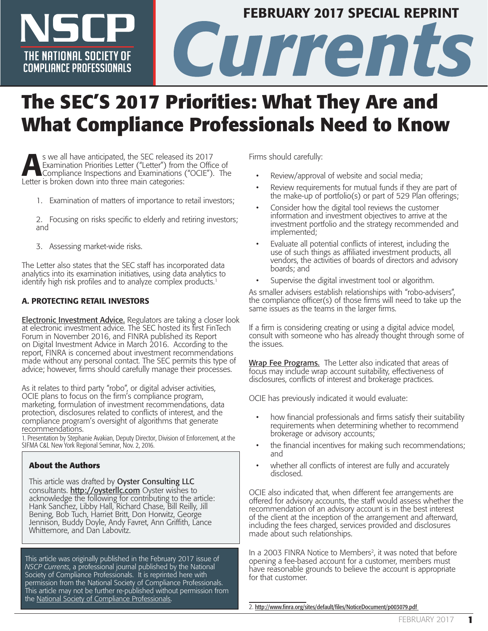# FEBRUARY 2017 SPECIAL REPRINT THE NATIONAL SOCIETY OF **CULTURE CONDUCT AND REPAIRING CONDUCTS** THE NATIONAL SOCIETY OF **COMPLIANCE PROFESSIONALS**

# **The SEC'S 2017 Priorities: What They Are and What Compliance Professionals Need to Know**

S we all have anticipated, the SEC released its 2017<br>
Examination Priorities Letter ("Letter") from the Office of<br>
Compliance Inspections and Examinations ("OCIE"). The<br>
Letter is broken down into three main categories: Examination Priorities Letter ("Letter") from the Office of Letter is broken down into three main categories:

- 1. Examination of matters of importance to retail investors;
- 2. Focusing on risks specific to elderly and retiring investors; and
- 3. Assessing market-wide risks.

The Letter also states that the SEC staff has incorporated data analytics into its examination initiatives, using data analytics to identify high risk profiles and to analyze complex products.<sup>1</sup>

## A. PROTECTING RETAIL INVESTORS

Electronic Investment Advice. Regulators are taking a closer look at electronic investment advice. The SEC hosted its first FinTech Forum in November 2016, and FINRA published its Report on Digital Investment Advice in March 2016. According to the report, FINRA is concerned about investment recommendations made without any personal contact. The SEC permits this type of advice; however, firms should carefully manage their processes.

As it relates to third party "robo", or digital adviser activities, OCIE plans to focus on the firm's compliance program, marketing, formulation of investment recommendations, data protection, disclosures related to conflicts of interest, and the compliance program's oversight of algorithms that generate recommendations.

1. Presentation by Stephanie Avakian, Deputy Director, Division of Enforcement, at the SIFMA C&L New York Regional Seminar, Nov. 2, 2016.

## **About the Authors**

This article was drafted by Oyster Consulting LLC consultants. http://oysterllc.com Oyster wishes to consultants. <mark>http://oysterllc.com</mark> Oyster wishes to<br>acknowledg[e the following for con](http://oysterllc.com/)tributing to the article: Hank Sanchez, Libby Hall, Richard Chase, Bill Reilly, Jill Bening, Bob Tuch, Harriet Britt, Don Horwitz, George Jennison, Buddy Doyle, Andy Favret, Ann Griffith, Lance Whittemore, and Dan Labovitz.

This article was originally published in the February 2017 issue of *NSCP Currents*, a professional journal published by the National Society of Compliance Professionals. It is reprinted here with permission from the National Society of Compliance Professionals. This article may not be further re-published without permission from the [National Society of Compliance Professionals](https://www.nscp.org/).

Firms should carefully:

- Review/approval of website and social media;
- Review requirements for mutual funds if they are part of the make-up of portfolio(s) or part of 529 Plan offerings;
- Consider how the digital tool reviews the customer information and investment objectives to arrive at the investment portfolio and the strategy recommended and implemented;
- Evaluate all potential conflicts of interest, including the use of such things as affiliated investment products, all vendors, the activities of boards of directors and advisory boards; and
- Supervise the digital investment tool or algorithm.

As smaller advisers establish relationships with "robo-advisers", the compliance officer(s) of those firms will need to take up the same issues as the teams in the larger firms.

If a firm is considering creating or using a digital advice model, consult with someone who has already thought through some of the issues.

Wrap Fee Programs. The Letter also indicated that areas of focus may include wrap account suitability, effectiveness of disclosures, conflicts of interest and brokerage practices.

OCIE has previously indicated it would evaluate:

- how financial professionals and firms satisfy their suitability requirements when determining whether to recommend brokerage or advisory accounts;
- the financial incentives for making such recommendations; and
- whether all conflicts of interest are fully and accurately disclosed.

OCIE also indicated that, when different fee arrangements are offered for advisory accounts, the staff would assess whether the recommendation of an advisory account is in the best interest of the client at the inception of the arrangement and afterward, including the fees charged, services provided and disclosures made about such relationships.

In a 2003 FINRA Notice to Members<sup>2</sup>, it was noted that before opening a fee-based account for a customer, members must have reasonable grounds to believe the account is appropriate for that customer.

2. <http://www.finra.org/sites/default/files/NoticeDocument/p003079.pdf>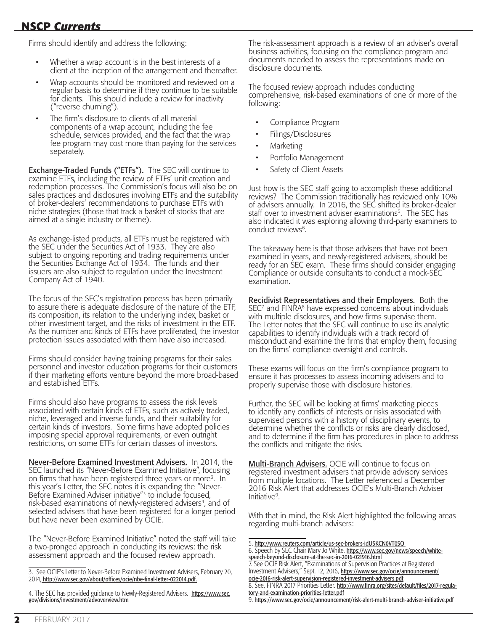# **NSCP** *Currents* **NSCP** *Currents*

Firms should identify and address the following:

- Whether a wrap account is in the best interests of a client at the inception of the arrangement and thereafter.
- Wrap accounts should be monitored and reviewed on a regular basis to determine if they continue to be suitable for clients. This should include a review for inactivity ("reverse churning").
- The firm's disclosure to clients of all material components of a wrap account, including the fee schedule, services provided, and the fact that the wrap fee program may cost more than paying for the services separately.

**Exchange-Traded Funds ("ETFs").** The SEC will continue to examine ETFs, including the review of ETFs' unit creation and redemption processes. The Commission's focus will also be on sales practices and disclosures involving ETFs and the suitability of broker-dealers' recommendations to purchase ETFs with niche strategies (those that track a basket of stocks that are aimed at a single industry or theme).

As exchange-listed products, all ETFs must be registered with the SEC under the Securities Act of 1933. They are also subject to ongoing reporting and trading requirements under the Securities Exchange Act of 1934. The funds and their issuers are also subject to regulation under the Investment Company Act of 1940.

The focus of the SEC's registration process has been primarily to assure there is adequate disclosure of the nature of the ETF, its composition, its relation to the underlying index, basket or other investment target, and the risks of investment in the ETF. As the number and kinds of ETFs have proliferated, the investor protection issues associated with them have also increased.

Firms should consider having training programs for their sales personnel and investor education programs for their customers if their marketing efforts venture beyond the more broad-based and established ETFs.

Firms should also have programs to assess the risk levels associated with certain kinds of ETFs, such as actively traded, niche, leveraged and inverse funds, and their suitability for certain kinds of investors. Some firms have adopted policies imposing special approval requirements, or even outright restrictions, on some ETFs for certain classes of investors.

Never-Before Examined Investment Advisers. In 2014, the SEC launched its "Never-Before Examined Initiative", focusing on firms that have been registered three years or more<sup>3</sup>. In this year's Letter, the SEC notes it is expanding the "Never-Before Examined Adviser initiative"<sup>3</sup> to include focused, risk-based examinations of newly-registered advisers<sup>4</sup>, and of selected advisers that have been registered for a longer period but have never been examined by OCIE.

The "Never-Before Examined Initiative" noted the staff will take a two-pronged approach in conducting its reviews: the risk assessment approach and the focused review approach.

4. The SEC has provided guidance to Newly-Registered Advisers. [https://www.sec.](https://www.sec.gov/divisions/investment/advoverview.htm) [gov/divisions/investment/advoverview.htm](https://www.sec.gov/divisions/investment/advoverview.htm)

The risk-assessment approach is a review of an adviser's overall business activities, focusing on the compliance program and documents needed to assess the representations made on disclosure documents.

The focused review approach includes conducting comprehensive, risk-based examinations of one or more of the following:

- Compliance Program
- Filings/Disclosures
- Marketing
- Portfolio Management
- Safety of Client Assets

Just how is the SEC staff going to accomplish these additional reviews? The Commission traditionally has reviewed only 10% of advisers annually. In 2016, the SEC shifted its broker-dealer staff over to investment adviser examinations<sup>5</sup>. The SEC has also indicated it was exploring allowing third-party examiners to conduct reviews<sup>6</sup>.

The takeaway here is that those advisers that have not been examined in years, and newly-registered advisers, should be ready for an SEC exam. These firms should consider engaging Compliance or outside consultants to conduct a mock-SEC examination.

**Recidivist Representatives and their Employers.** Both the SEC<sup>7</sup> and FINRA<sup>8</sup> have expressed concerns about individuals with multiple disclosures, and how firms supervise them. The Letter notes that the SEC will continue to use its analytic capabilities to identify individuals with a track record of misconduct and examine the firms that employ them, focusing on the firms' compliance oversight and controls.

These exams will focus on the firm's compliance program to ensure it has processes to assess incoming advisers and to properly supervise those with disclosure histories.

Further, the SEC will be looking at firms' marketing pieces to identify any conflicts of interests or risks associated with supervised persons with a history of disciplinary events, to determine whether the conflicts or risks are clearly disclosed, and to determine if the firm has procedures in place to address the conflicts and mitigate the risks.

Multi-Branch Advisers. OCIE will continue to focus on registered investment advisers that provide advisory services from multiple locations. The Letter referenced a December 2016 Risk Alert that addresses OCIE's Multi-Branch Adviser Initiative9.

With that in mind, the Risk Alert highlighted the following areas regarding multi-branch advisers:

- 5. <http://www.reuters.com/article/us-sec-brokers-idUSKCN0VT0SQ>
- 6. Speech by SEC Chair Mary Jo White. [https://www.sec.gov/news/speech/white](https://www.sec.gov/news/speech/white-speech-beyond-disclosure-at-the-sec-in-2016-021916.html)[speech-beyond-disclosure-at-the-sec-in-2016-021916.html](https://www.sec.gov/news/speech/white-speech-beyond-disclosure-at-the-sec-in-2016-021916.html)
- 7. See OCIE Risk Alert, "Examinations of Supervision Practices at Registered Investment Advisers," Sept. 12, 2016, [https://www.sec.gov/ocie/announcement/](https://www.sec.gov/ocie/announcement/ocie-2016-risk-alert-supervision-registered-investment-advisers.pdf) [ocie-2016-risk-alert-supervision-registered-investment-advisers.pdf](https://www.sec.gov/ocie/announcement/ocie-2016-risk-alert-supervision-registered-investment-advisers.pdf).
- 8. See, FINRA 2017 Priorities Letter. [http://www.finra.org/sites/default/files/2017-regula](http://www.finra.org/sites/default/files/2017-regulatory-and-examination-priorities-letter.pdf)[tory-and-examination-priorities-letter.pdf](http://www.finra.org/sites/default/files/2017-regulatory-and-examination-priorities-letter.pdf)

<sup>3.</sup> See OCIE's Letter to Never-Before Examined Investment Advisers, February 20, 2014, [http://www.sec.gov/about/offices/ocie/nbe-final-letter-022014.pdf.](http://www.sec.gov/about/offices/ocie/nbe-final-letter-022014.pdf)

<sup>9.</sup> <https://www.sec.gov/ocie/announcement/risk-alert-multi-branch-adviser-initiative.pdf>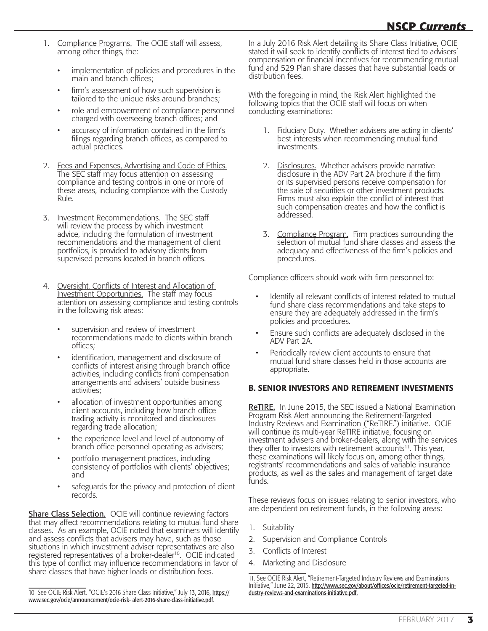- 1. Compliance Programs. The OCIE staff will assess, among other things, the:
	- implementation of policies and procedures in the main and branch offices;
	- firm's assessment of how such supervision is tailored to the unique risks around branches;
	- role and empowerment of compliance personnel charged with overseeing branch offices; and
	- accuracy of information contained in the firm's filings regarding branch offices, as compared to actual practices.
- 2. Fees and Expenses, Advertising and Code of Ethics. The SEC staff may focus attention on assessing compliance and testing controls in one or more of these areas, including compliance with the Custody Rule.
- 3. Investment Recommendations. The SEC staff will review the process by which investment advice, including the formulation of investment recommendations and the management of client portfolios, is provided to advisory clients from supervised persons located in branch offices.
- 4. Oversight, Conflicts of Interest and Allocation of Investment Opportunities. The staff may focus attention on assessing compliance and testing controls in the following risk areas:
	- supervision and review of investment recommendations made to clients within branch offices;
	- identification, management and disclosure of conflicts of interest arising through branch office activities, including conflicts from compensation arrangements and advisers' outside business activities;
	- allocation of investment opportunities among client accounts, including how branch office trading activity is monitored and disclosures regarding trade allocation;
	- the experience level and level of autonomy of branch office personnel operating as advisers;
	- portfolio management practices, including consistency of portfolios with clients' objectives; and
	- safeguards for the privacy and protection of client records.

**Share Class Selection.** OCIE will continue reviewing factors that may affect recommendations relating to mutual fund share classes. As an example, OCIE noted that examiners will identify and assess conflicts that advisers may have, such as those situations in which investment adviser representatives are also registered representatives of a broker-dealer<sup>10</sup>. OCIE indicated this type of conflict may influence recommendations in favor of share classes that have higher loads or distribution fees.

10 See OCIE Risk Alert, "OCIE's 2016 Share Class Initiative," July 13, 2016, [https://](https://www.sec.gov/ocie/announcement/ocie-risk-alert-2016-share-class-initiative.pdf) [www.sec.gov/ocie/announcement/ocie-risk- alert-2016-share-class-initiative.pdf](https://www.sec.gov/ocie/announcement/ocie-risk-alert-2016-share-class-initiative.pdf).

In a July 2016 Risk Alert detailing its Share Class Initiative, OCIE stated it will seek to identify conflicts of interest tied to advisers' compensation or financial incentives for recommending mutual fund and 529 Plan share classes that have substantial loads or distribution fees.

With the foregoing in mind, the Risk Alert highlighted the following topics that the OCIE staff will focus on when conducting examinations:

- 1. Fiduciary Duty. Whether advisers are acting in clients' best interests when recommending mutual fund investments.
- 2. Disclosures. Whether advisers provide narrative disclosure in the ADV Part 2A brochure if the firm or its supervised persons receive compensation for the sale of securities or other investment products. Firms must also explain the conflict of interest that such compensation creates and how the conflict is addressed.
- 3. Compliance Program. Firm practices surrounding the selection of mutual fund share classes and assess the adequacy and effectiveness of the firm's policies and procedures.

Compliance officers should work with firm personnel to:

- Identify all relevant conflicts of interest related to mutual fund share class recommendations and take steps to ensure they are adequately addressed in the firm's policies and procedures.
- Ensure such conflicts are adequately disclosed in the ADV Part 2A.
- Periodically review client accounts to ensure that mutual fund share classes held in those accounts are appropriate.

## B. SENIOR INVESTORS AND RETIREMENT INVESTMENTS

ReTIRE. In June 2015, the SEC issued a National Examination Program Risk Alert announcing the Retirement-Targeted Industry Reviews and Examination ("ReTIRE.") initiative. OCIE will continue its multi-year ReTIRE initiative, focusing on investment advisers and broker-dealers, along with the services they offer to investors with retirement accounts<sup>11</sup>. This year, these examinations will likely focus on, among other things, registrants' recommendations and sales of variable insurance products, as well as the sales and management of target date funds.

These reviews focus on issues relating to senior investors, who are dependent on retirement funds, in the following areas:

- 1. Suitability
- 2. Supervision and Compliance Controls
- 3. Conflicts of Interest
- 4. Marketing and Disclosure

11. See OCIE Risk Alert, "Retirement-Targeted Industry Reviews and Examinations Initiative," June 22, 2015, [http://www.sec.gov/about/offices/ocie/retirement-targeted-in](http://www.sec.gov/about/offices/ocie/retirement-targeted-industry-reviews-and-examinations-initiative.pdf)[dustry-reviews-and-examinations-initiative.pdf.](http://www.sec.gov/about/offices/ocie/retirement-targeted-industry-reviews-and-examinations-initiative.pdf)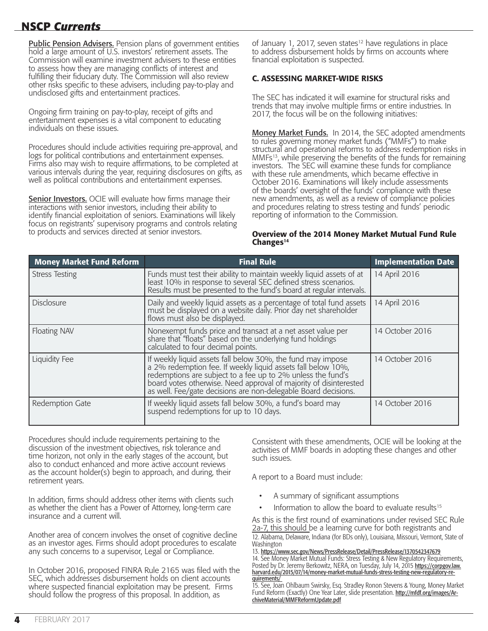# **NSCP** *Currents* **NSCP** *Currents*

**Public Pension Advisers.** Pension plans of government entities hold a large amount of U.S. investors' retirement assets. The Commission will examine investment advisers to these entities to assess how they are managing conflicts of interest and fulfilling their fiduciary duty. The Commission will also review other risks specific to these advisers, including pay-to-play and undisclosed gifts and entertainment practices.

Ongoing firm training on pay-to-play, receipt of gifts and entertainment expenses is a vital component to educating individuals on these issues.

Procedures should include activities requiring pre-approval, and logs for political contributions and entertainment expenses. Firms also may wish to require affirmations, to be completed at various intervals during the year, requiring disclosures on gifts, as well as political contributions and entertainment expenses.

**Senior Investors.** OCIE will evaluate how firms manage their interactions with senior investors, including their ability to identify financial exploitation of seniors. Examinations will likely focus on registrants' supervisory programs and controls relating to products and services directed at senior investors.

of January 1, 2017, seven states<sup>12</sup> have regulations in place to address disbursement holds by firms on accounts where financial exploitation is suspected.

## C. ASSESSING MARKET-WIDE RISKS

The SEC has indicated it will examine for structural risks and trends that may involve multiple firms or entire industries. In 2017, the focus will be on the following initiatives:

Money Market Funds. In 2014, the SEC adopted amendments to rules governing money market funds ("MMFs") to make structural and operational reforms to address redemption risks in MMFs13, while preserving the benefits of the funds for remaining investors. The SEC will examine these funds for compliance with these rule amendments, which became effective in October 2016. Examinations will likely include assessments of the boards' oversight of the funds' compliance with these new amendments, as well as a review of compliance policies and procedures relating to stress testing and funds' periodic reporting of information to the Commission.

#### Overview of the 2014 Money Market Mutual Fund Rule Changes<sup>14</sup>

| <b>Money Market Fund Reform</b> | <b>Final Rule</b>                                                                                                                                                                                                                                                                                                                 | <b>Implementation Date</b> |
|---------------------------------|-----------------------------------------------------------------------------------------------------------------------------------------------------------------------------------------------------------------------------------------------------------------------------------------------------------------------------------|----------------------------|
| <b>Stress Testing</b>           | Funds must test their ability to maintain weekly liquid assets of at least 10% in response to several SEC defined stress scenarios.<br>Results must be presented to the fund's board at regular intervals.                                                                                                                        | 14 April 2016              |
| <b>Disclosure</b>               | Daily and weekly liquid assets as a percentage of total fund assets<br>must be displayed on a website daily. Prior day net shareholder<br>flows must also be displayed.                                                                                                                                                           | 14 April 2016              |
| Floating NAV                    | Nonexempt funds price and transact at a net asset value per<br>share that "floats" based on the underlying fund holdings<br>calculated to four decimal points.                                                                                                                                                                    | 14 October 2016            |
| <b>Liquidity Fee</b>            | If weekly liquid assets fall below 30%, the fund may impose<br>a 2% redemption fee. If weekly liquid assets fall below 10%,<br>redemptions are subject to a fee up to 2% unless the fund's<br>board votes otherwise. Need approval of majority of disinterested<br>as well. Fee/gate decisions are non-delegable Board decisions. | 14 October 2016            |
| Redemption Gate                 | If weekly liquid assets fall below 30%, a fund's board may<br>suspend redemptions for up to 10 days.                                                                                                                                                                                                                              | 14 October 2016            |

Procedures should include requirements pertaining to the discussion of the investment objectives, risk tolerance and time horizon, not only in the early stages of the account, but also to conduct enhanced and more active account reviews as the account holder(s) begin to approach, and during, their retirement years.

In addition, firms should address other items with clients such as whether the client has a Power of Attorney, long-term care insurance and a current will.

Another area of concern involves the onset of cognitive decline as an investor ages. Firms should adopt procedures to escalate any such concerns to a supervisor, Legal or Compliance.

In October 2016, proposed FINRA Rule 2165 was filed with the SEC, which addresses disbursement holds on client accounts where suspected financial exploitation may be present. Firms should follow the progress of this proposal. In addition, as

Consistent with these amendments, OCIE will be looking at the activities of MMF boards in adopting these changes and other such issues.

A report to a Board must include:

- A summary of significant assumptions
- Information to allow the board to evaluate results<sup>15</sup>

As this is the first round of examinations under revised SEC Rule 2a-7, this should be a learning curve for both registrants and 12. Alabama, Delaware, Indiana (for BDs only), Louisiana, Missouri, Vermont, State of Washington

13. <https://www.sec.gov/News/PressRelease/Detail/PressRelease/1370542347679> 14. See Money Market Mutual Funds: Stress Testing & New Regulatory Requirements, Posted by Dr. Jeremy Berkowitz, NERA, on Tuesday, July 14, 2015 <u>[https://corpgov.law.](https://corpgov.law.harvard.edu/2015/07/14/money-market-mutual-funds-stress-testing-new-regulatory-requirements/)</u><br><u>harvard.edu/2015/07/14/money-market-mutual-funds-stress-testing-new-regulatory-re-</u> [quirements/](https://corpgov.law.harvard.edu/2015/07/14/money-market-mutual-funds-stress-testing-new-regulatory-requirements/)

15. See, Joan Ohlbaum Swirsky, Esq. Stradley Ronon Stevens & Young, Money Market Fund Reform (Exactly) One Year Later, slide presentation. [http://mfdf.org/images/Ar](http://mfdf.org/images/ArchiveMaterial/MMFReformUpdate.pdf)[chiveMaterial/MMFReformUpdate.pdf](http://mfdf.org/images/ArchiveMaterial/MMFReformUpdate.pdf)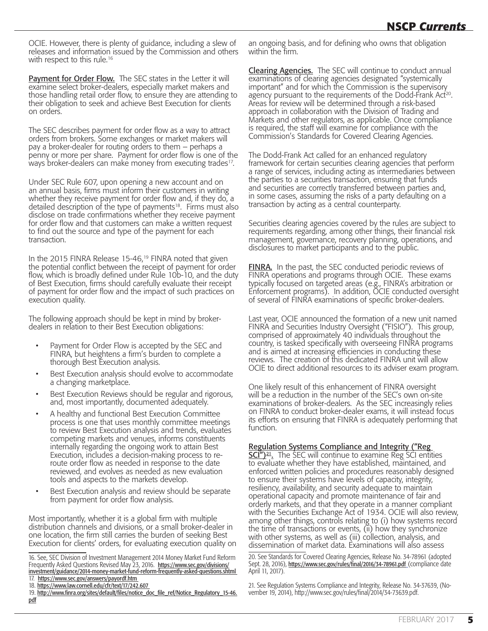OCIE. However, there is plenty of guidance, including a slew of releases and information issued by the Commission and others with respect to this rule.<sup>16</sup>

Payment for Order Flow. The SEC states in the Letter it will examine select broker-dealers, especially market makers and those handling retail order flow, to ensure they are attending to their obligation to seek and achieve Best Execution for clients on orders.

The SEC describes payment for order flow as a way to attract orders from brokers. Some exchanges or market makers will pay a broker-dealer for routing orders to them – perhaps a penny or more per share. Payment for order flow is one of the ways broker-dealers can make money from executing trades<sup>17</sup>.

Under SEC Rule 607, upon opening a new account and on an annual basis, firms must inform their customers in writing whether they receive payment for order flow and, if they do, a detailed description of the type of payments<sup>18</sup>. Firms must also disclose on trade confirmations whether they receive payment for order flow and that customers can make a written request to find out the source and type of the payment for each transaction.

In the 2015 FINRA Release 15-46,<sup>19</sup> FINRA noted that given the potential conflict between the receipt of payment for order flow, which is broadly defined under Rule 10b-10, and the duty of Best Execution, firms should carefully evaluate their receipt of payment for order flow and the impact of such practices on execution quality.

The following approach should be kept in mind by brokerdealers in relation to their Best Execution obligations:

- Payment for Order Flow is accepted by the SEC and FINRA, but heightens a firm's burden to complete a thorough Best Execution analysis.
- Best Execution analysis should evolve to accommodate a changing marketplace.
- Best Execution Reviews should be regular and rigorous, and, most importantly, documented adequately.
- A healthy and functional Best Execution Committee process is one that uses monthly committee meetings to review Best Execution analysis and trends, evaluates competing markets and venues, informs constituents internally regarding the ongoing work to attain Best Execution, includes a decision-making process to reroute order flow as needed in response to the date reviewed, and evolves as needed as new evaluation tools and aspects to the markets develop.
- Best Execution analysis and review should be separate from payment for order flow analysis.

Most importantly, whether it is a global firm with multiple distribution channels and divisions, or a small broker-dealer in one location, the firm still carries the burden of seeking Best Execution for clients' orders, for evaluating execution quality on

16. See, SEC Division of Investment Management 2014 Money Market Fund Reform Frequently Asked Questions Revised May 23, 2016. [https://www.sec.gov/divisions/](https://www.sec.gov/divisions/investment/guidance/2014-money-market-fund-reform-frequently-asked-questions.shtml) [investment/guidance/2014-money-market-fund-reform-frequently-asked-questions.shtml](https://www.sec.gov/divisions/investment/guidance/2014-money-market-fund-reform-frequently-asked-questions.shtml) 17. <https://www.sec.gov/answers/payordf.htm>

an ongoing basis, and for defining who owns that obligation within the firm.

**Clearing Agencies.** The SEC will continue to conduct annual examinations of clearing agencies designated "systemically important" and for which the Commission is the supervisory agency pursuant to the requirements of the Dodd-Frank Act<sup>20</sup>. Areas for review will be determined through a risk-based approach in collaboration with the Division of Trading and Markets and other regulators, as applicable. Once compliance is required, the staff will examine for compliance with the Commission's Standards for Covered Clearing Agencies.

The Dodd-Frank Act called for an enhanced regulatory framework for certain securities clearing agencies that perform a range of services, including acting as intermediaries between the parties to a securities transaction, ensuring that funds and securities are correctly transferred between parties and, in some cases, assuming the risks of a party defaulting on a transaction by acting as a central counterparty.

Securities clearing agencies covered by the rules are subject to requirements regarding, among other things, their financial risk management, governance, recovery planning, operations, and disclosures to market participants and to the public.

**FINRA.** In the past, the SEC conducted periodic reviews of FINRA operations and programs through OCIE. These exams typically focused on targeted areas (e.g., FINRA's arbitration or Enforcement programs). In addition, OCIE conducted oversight of several of FINRA examinations of specific broker-dealers.

Last year, OCIE announced the formation of a new unit named FINRA and Securities Industry Oversight ("FISIO"). This group, comprised of approximately 40 individuals throughout the country, is tasked specifically with overseeing FINRA programs and is aimed at increasing efficiencies in conducting these reviews. The creation of this dedicated FINRA unit will allow OCIE to direct additional resources to its adviser exam program.

One likely result of this enhancement of FINRA oversight will be a reduction in the number of the SEC's own on-site examinations of broker-dealers. As the SEC increasingly relies on FINRA to conduct broker-dealer exams, it will instead focus its efforts on ensuring that FINRA is adequately performing that function.

#### Regulation Systems Compliance and Integrity ("Reg

 $SCI''<sub>21</sub>$ . The SEC will continue to examine Reg SCI entities to evaluate whether they have established, maintained, and enforced written policies and procedures reasonably designed to ensure their systems have levels of capacity, integrity, resiliency, availability, and security adequate to maintain operational capacity and promote maintenance of fair and orderly markets, and that they operate in a manner compliant with the Securities Exchange Act of 1934. OCIE will also review, among other things, controls relating to (i) how systems record the time of transactions or events, (ii) how they synchronize with other systems, as well as (iii) collection, analysis, and dissemination of market data. Examinations will also assess

20. See Standards for Covered Clearing Agencies, Release No. 34-78961 (adopted Sept. 28, 2016), <https://www.sec.gov/rules/final/2016/34-78961.pdf> (compliance date April 11, 2017).

21. See Regulation Systems Compliance and Integrity, Release No. 34-37639, (November 19, 2014), [http://www.sec.gov/rules/final/2014/34-73639.pdf.](http://www.sec.gov/rules/final/2014/34-73639.pdf)

<sup>18.</sup> <https://www.law.cornell.edu/cfr/text/17/242.607>

<sup>19.</sup> [http://www.finra.org/sites/default/files/notice\\_doc\\_file\\_ref/Notice\\_Regulatory\\_15-46.](http://www.finra.org/sites/default/files/notice_doc_file_ref/Notice_Regulatory_15-46.pdf) [pdf](http://www.finra.org/sites/default/files/notice_doc_file_ref/Notice_Regulatory_15-46.pdf)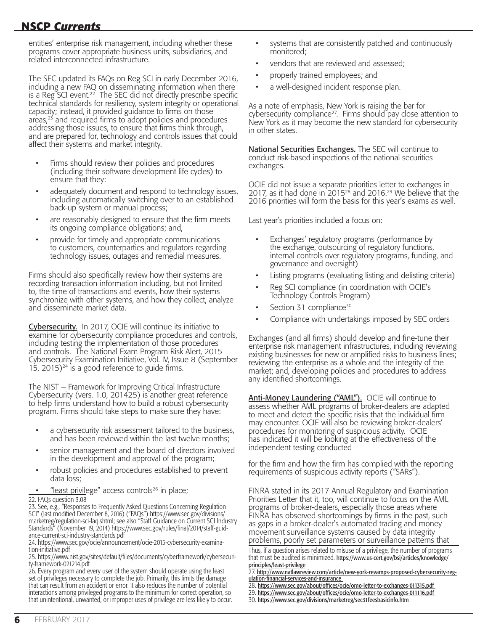entities' enterprise risk management, including whether these programs cover appropriate business units, subsidiaries, and related interconnected infrastructure.

The SEC updated its FAQs on Reg SCI in early December 2016, including a new FAQ on disseminating information when there is a Reg SCI event.<sup>22</sup> The SEC did not directly prescribe specific technical standards for resiliency, system integrity or operational capacity; instead, it provided guidance to firms on those  $area<sub>23</sub>$  and required firms to adopt policies and procedures addressing those issues, to ensure that firms think through, and are prepared for, technology and controls issues that could affect their systems and market integrity.

- Firms should review their policies and procedures (including their software development life cycles) to ensure that they:
- adequately document and respond to technology issues, including automatically switching over to an established back-up system or manual process;
- are reasonably designed to ensure that the firm meets its ongoing compliance obligations; and,
- provide for timely and appropriate communications to customers, counterparties and regulators regarding technology issues, outages and remedial measures.

Firms should also specifically review how their systems are recording transaction information including, but not limited to, the time of transactions and events, how their systems synchronize with other systems, and how they collect, analyze and disseminate market data.

Cybersecurity. In 2017, OCIE will continue its initiative to examine for cybersecurity compliance procedures and controls, including testing the implementation of those procedures and controls. The National Exam Program Risk Alert, 2015 Cybersecurity Examination Initiative, Vol. IV, Issue 8 (September 15, 2015)<sup>24</sup> is a good reference to guide firms.

The NIST – Framework for Improving Critical Infrastructure Cybersecurity (vers. 1.0, 201425) is another great reference to help firms understand how to build a robust cybersecurity program. Firms should take steps to make sure they have:

- a cybersecurity risk assessment tailored to the business, and has been reviewed within the last twelve months;
- senior management and the board of directors involved in the development and approval of the program;
- robust policies and procedures established to prevent data loss;
- "least privilege" access controls<sup>26</sup> in place;

#### 22. FAQs question 3.08

23. See, e.g., "Responses to Frequently Asked Questions Concerning Regulation SCI" (last modified December 8, 2016) ("FAQs") [https://www.sec.gov/divisions/](https://www.sec.gov/divisions/marketreg/regulation-sci-faq.shtml) [marketreg/regulation-sci-faq.shtml](https://www.sec.gov/divisions/marketreg/regulation-sci-faq.shtml); see also "Staff Guidance on Current SCI Industry Standards" (November 19, 2014) [https://www.sec.gov/rules/final/2014/staff-guid](https://www.sec.gov/rules/final/2014/staff-guidance-current-sci-industry-standards.pdf)[ance-current-sci-industry-standards.pdf](https://www.sec.gov/rules/final/2014/staff-guidance-current-sci-industry-standards.pdf)

24. [https://www.sec.gov/ocie/announcement/ocie-2015-cybersecurity-examina](https://www.sec.gov/ocie/announcement/ocie-2015-cybersecurity-examination-initiative.pdf)[tion-initiative.pdf](https://www.sec.gov/ocie/announcement/ocie-2015-cybersecurity-examination-initiative.pdf) 

25. [https://www.nist.gov/sites/default/files/documents/cyberframework/cybersecuri](https://www.nist.gov/sites/default/files/documents/cyberframework/cybersecurity-framework-021214.pdf)[ty-framework-021214.pdf](https://www.nist.gov/sites/default/files/documents/cyberframework/cybersecurity-framework-021214.pdf) 

26. Every program and every user of the system should operate using the least set of privileges necessary to complete the job. Primarily, this limits the damage that can result from an accident or error. It also reduces the number of potential interactions among privileged programs to the minimum for correct operation, so that unintentional, unwanted, or improper uses of privilege are less likely to occur.

- systems that are consistently patched and continuously monitored;
- vendors that are reviewed and assessed;
- properly trained employees; and
- a well-designed incident response plan.

As a note of emphasis, New York is raising the bar for cybersecurity compliance<sup>27</sup>. Firms should pay close attention to New York as it may become the new standard for cybersecurity in other states.

National Securities Exchanges. The SEC will continue to conduct risk-based inspections of the national securities exchanges.

OCIE did not issue a separate priorities letter to exchanges in 2017, as it had done in 2015<sup>28</sup> and 2016.<sup>29</sup> We believe that the 2016 priorities will form the basis for this year's exams as well.

Last year's priorities included a focus on:

- Exchanges' regulatory programs (performance by the exchange, outsourcing of regulatory functions, internal controls over regulatory programs, funding, and governance and oversight)
- Listing programs (evaluating listing and delisting criteria)
- Reg SCI compliance (in coordination with OCIE's Technology Controls Program)
- Section 31 compliance<sup>30</sup>
- Compliance with undertakings imposed by SEC orders

Exchanges (and all firms) should develop and fine-tune their enterprise risk management infrastructures, including reviewing existing businesses for new or amplified risks to business lines; reviewing the enterprise as a whole and the integrity of the market; and, developing policies and procedures to address any identified shortcomings.

Anti-Money Laundering ("AML"). OCIE will continue to assess whether AML programs of broker-dealers are adapted to meet and detect the specific risks that the individual firm may encounter. OCIE will also be reviewing broker-dealers' procedures for monitoring of suspicious activity. OCIE has indicated it will be looking at the effectiveness of the independent testing conducted

for the firm and how the firm has complied with the reporting requirements of suspicious activity reports ("SARs").

FINRA stated in its 2017 Annual Regulatory and Examination Priorities Letter that it, too, will continue to focus on the AML programs of broker-dealers, especially those areas where FINRA has observed shortcomings by firms in the past, such as gaps in a broker-dealer's automated trading and money movement surveillance systems caused by data integrity problems, poorly set parameters or surveillance patterns that

Thus, if a question arises related to misuse of a privilege, the number of programs that must be audited is minimized. [https://www.us-cert.gov/bsi/articles/knowledge/](https://www.us-cert.gov/bsi/articles/knowledge/principles/least-privilege) [principles/least-privilege](https://www.us-cert.gov/bsi/articles/knowledge/principles/least-privilege)

<sup>27.</sup> [http://www.natlawreview.com/article/new-york-revamps-proposed-cybersecurity-reg](http://www.natlawreview.com/article/new-york-revamps-proposed-cybersecurity-regulation-financial-services-and-insurance)[ulation-financial-services-and-insurance](http://www.natlawreview.com/article/new-york-revamps-proposed-cybersecurity-regulation-financial-services-and-insurance)

<sup>28.</sup> <https://www.sec.gov/about/offices/ocie/omo-letter-to-exchanges-011315.pdf>

<sup>29.</sup> <https://www.sec.gov/about/offices/ocie/omo-letter-to-exchanges-011116.pdf>

<sup>30.</sup> <https://www.sec.gov/divisions/marketreg/sec31feesbasicinfo.htm>